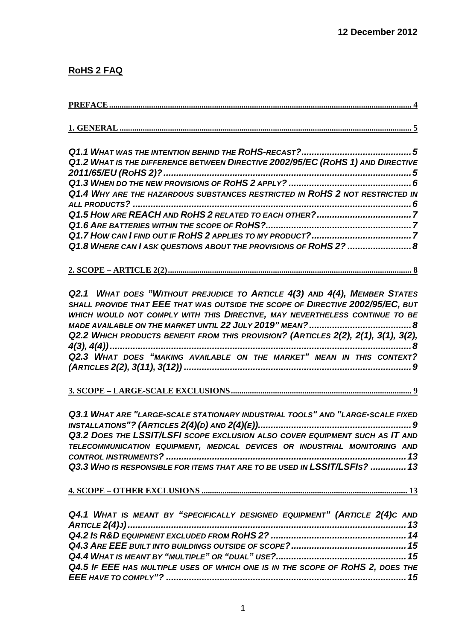## **RoHS 2 FAQ**

| Q1.2 WHAT IS THE DIFFERENCE BETWEEN DIRECTIVE 2002/95/EC (ROHS 1) AND DIRECTIVE |  |
|---------------------------------------------------------------------------------|--|
|                                                                                 |  |
|                                                                                 |  |
| Q1.4 WHY ARE THE HAZARDOUS SUBSTANCES RESTRICTED IN ROHS 2 NOT RESTRICTED IN    |  |
|                                                                                 |  |
|                                                                                 |  |
|                                                                                 |  |
|                                                                                 |  |
| Q1.8 WHERE CAN I ASK QUESTIONS ABOUT THE PROVISIONS OF ROHS 2?  8               |  |
|                                                                                 |  |

*[Q2.1 WHAT DOES "WITHOUT PREJUDICE TO ARTICLE 4\(3\)](#page-7-2) AND 4(4), MEMBER STATES SHALL PROVIDE THAT EEE THAT WAS OUTSIDE THE [SCOPE OF DIRECTIVE 2002/95/EC,](#page-7-2) BUT [WHICH WOULD NOT COMPLY WITH THIS DIRECTIVE,](#page-7-2) MAY NEVERTHELESS CONTINUE TO BE [MADE AVAILABLE ON THE MARKET UNTIL 22](#page-7-2) JULY 2019" MEAN?........................................8 Q2.2 [WHICH PRODUCTS BENEFIT FROM THIS PROVISION?](#page-7-3) (ARTICLES 2(2), 2(1), 3(1), 3(2), 4(3), [4\(4\)\)......................................................................................................................8](#page-7-3) Q2.3 [WHAT DOES "MAKING AVAILABLE ON THE MARKET"](#page-8-0) MEAN IN THIS CONTEXT? (ARTICLES 2(2), 3(11), 3(12)) [.........................................................................................9](#page-8-0)*

## **3. SCOPE – [LARGE-SCALE EXCLUSIONS......................................................................................](#page-8-1) 9**

*Q3.1 [WHAT ARE "LARGE-SCALE STATIONARY INDUSTRIAL TOOLS"](#page-8-2) AND "LARGE-SCALE FIXED INSTALLATIONS"? (ARTICLES 2(4)(D) [AND 2\(4\)\(E\)\)............................................................9](#page-8-2) Q3.2 DOES THE LSSIT/LSFI SCOPE EXCLUSION ALSO [COVER EQUIPMENT SUCH AS IT](#page-12-0) AND TELECOMMUNICATION EQUIPMENT, [MEDICAL DEVICES OR INDUSTRIAL MONITORING](#page-12-0) AND CONTROL INSTRUMENTS? [..............................................................................................13](#page-12-0) Q3.3 [WHO IS RESPONSIBLE FOR ITEMS THAT ARE TO BE USED IN](#page-12-1) LSSIT/LSFIS? ..............13*

#### **4. SCOPE – OTHER EXCLUSIONS [..................................................................................................](#page-12-2) 13**

| Q4.1 WHAT IS MEANT BY "SPECIFICALLY DESIGNED EQUIPMENT" (ARTICLE 2(4)C AND     |  |
|--------------------------------------------------------------------------------|--|
|                                                                                |  |
|                                                                                |  |
|                                                                                |  |
|                                                                                |  |
| Q4.5 IF EEE HAS MULTIPLE USES OF WHICH ONE IS IN THE SCOPE OF ROHS 2, DOES THE |  |
|                                                                                |  |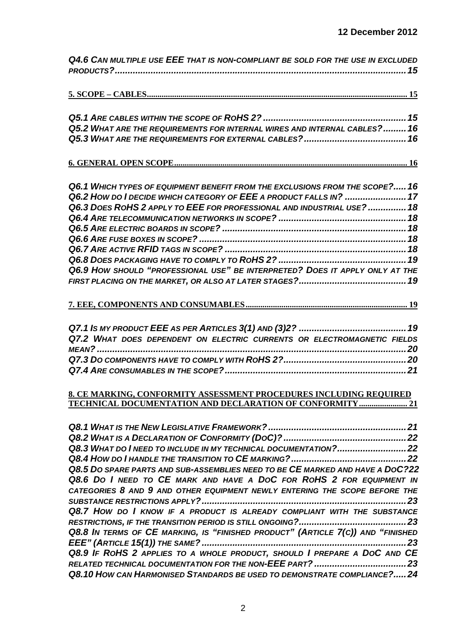| Q4.6 CAN MULTIPLE USE EEE THAT IS NON-COMPLIANT BE SOLD FOR THE USE IN EXCLUDED |
|---------------------------------------------------------------------------------|
|                                                                                 |
|                                                                                 |
|                                                                                 |
| Q5.2 WHAT ARE THE REQUIREMENTS FOR INTERNAL WIRES AND INTERNAL CABLES? 16       |
|                                                                                 |
|                                                                                 |
| Q6.1 WHICH TYPES OF EQUIPMENT BENEFIT FROM THE EXCLUSIONS FROM THE SCOPE? 16    |
| Q6.2 HOW DO I DECIDE WHICH CATEGORY OF EEE A PRODUCT FALLS IN?  17              |
| Q6.3 DOES ROHS 2 APPLY TO EEE FOR PROFESSIONAL AND INDUSTRIAL USE?  18          |
|                                                                                 |
|                                                                                 |
|                                                                                 |
|                                                                                 |
| Q6.9 HOW SHOULD "PROFESSIONAL USE" BE INTERPRETED? DOES IT APPLY ONLY AT THE    |
|                                                                                 |
|                                                                                 |
|                                                                                 |
|                                                                                 |
| Q7.2 WHAT DOES DEPENDENT ON ELECTRIC CURRENTS OR ELECTROMAGNETIC FIELDS         |
|                                                                                 |
|                                                                                 |
|                                                                                 |
| 8. CE MARKING, CONFORMITY ASSESSMENT PROCEDURES INCLUDING REQUIRED              |
| TECHNICAL DOCUMENTATION AND DECLARATION OF CONFORMITY  21                       |
|                                                                                 |
|                                                                                 |
| Q8.3 WHAT DO INEED TO INCLUDE IN MY TECHNICAL DOCUMENTATION? 22                 |
|                                                                                 |
| Q8.5 DO SPARE PARTS AND SUB-ASSEMBLIES NEED TO BE CE MARKED AND HAVE A DOC?22   |
| Q8.6 DO I NEED TO CE MARK AND HAVE A DOC FOR ROHS 2 FOR EQUIPMENT IN            |
| CATEGORIES 8 AND 9 AND OTHER EQUIPMENT NEWLY ENTERING THE SCOPE BEFORE THE      |
|                                                                                 |
| Q8.7 HOW DO I KNOW IF A PRODUCT IS ALREADY COMPLIANT WITH THE SUBSTANCE         |
| Q8.8 In TERMS OF CE MARKING, IS "FINISHED PRODUCT" (ARTICLE 7(C)) AND "FINISHED |
|                                                                                 |
| Q8.9 IF ROHS 2 APPLIES TO A WHOLE PRODUCT, SHOULD I PREPARE A DOC AND CE        |
|                                                                                 |
| Q8.10 HOW CAN HARMONISED STANDARDS BE USED TO DEMONSTRATE COMPLIANCE?24         |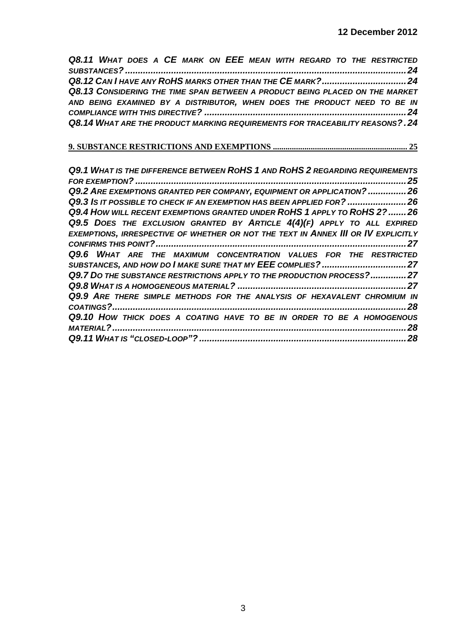| Q8.11 WHAT DOES A CE MARK ON EEE MEAN WITH REGARD TO THE RESTRICTED          |  |
|------------------------------------------------------------------------------|--|
|                                                                              |  |
|                                                                              |  |
| Q8.13 CONSIDERING THE TIME SPAN BETWEEN A PRODUCT BEING PLACED ON THE MARKET |  |
| AND BEING EXAMINED BY A DISTRIBUTOR, WHEN DOES THE PRODUCT NEED TO BE IN     |  |
|                                                                              |  |
| Q8.14 WHAT ARE THE PRODUCT MARKING REQUIREMENTS FOR TRACEABILITY REASONS?.24 |  |

# **[9. SUBSTANCE RESTRICTIONS AND EXEMPTIONS](#page-24-0) ................................................................ 25**

| Q9.1 WHAT IS THE DIFFERENCE BETWEEN ROHS 1 AND ROHS 2 REGARDING REQUIREMENTS      |
|-----------------------------------------------------------------------------------|
| 25                                                                                |
| Q9.2 ARE EXEMPTIONS GRANTED PER COMPANY, EQUIPMENT OR APPLICATION?  26            |
| Q9.3 IS IT POSSIBLE TO CHECK IF AN EXEMPTION HAS BEEN APPLIED FOR?  26            |
| Q9.4 HOW WILL RECENT EXEMPTIONS GRANTED UNDER ROHS 1 APPLY TO ROHS 2?  26         |
| Q9.5 DOES THE EXCLUSION GRANTED BY ARTICLE $4(4)(F)$ APPLY TO ALL EXPIRED         |
| EXEMPTIONS, IRRESPECTIVE OF WHETHER OR NOT THE TEXT IN ANNEX III OR IV EXPLICITLY |
| 27                                                                                |
| Q9.6 WHAT ARE THE MAXIMUM CONCENTRATION VALUES FOR THE RESTRICTED                 |
|                                                                                   |
| Q9.7 DO THE SUBSTANCE RESTRICTIONS APPLY TO THE PRODUCTION PROCESS?27             |
|                                                                                   |
| Q9.9 ARE THERE SIMPLE METHODS FOR THE ANALYSIS OF HEXAVALENT CHROMIUM IN          |
| 28                                                                                |
| Q9.10 HOW THICK DOES A COATING HAVE TO BE IN ORDER TO BE A HOMOGENOUS             |
| 28<br>MATERIAL?                                                                   |
| 28                                                                                |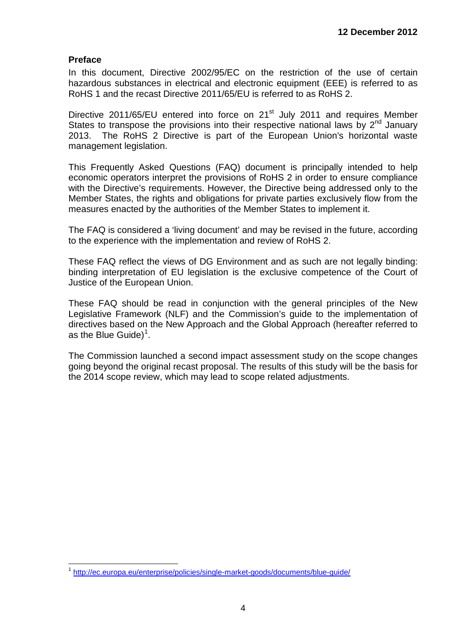#### <span id="page-3-0"></span>**Preface**

In this document, Directive 2002/95/EC on the restriction of the use of certain hazardous substances in electrical and electronic equipment (EEE) is referred to as RoHS 1 and the recast Directive 2011/65/EU is referred to as RoHS 2.

Directive 2011/65/EU entered into force on 21<sup>st</sup> July 2011 and requires Member States to transpose the provisions into their respective national laws by  $2^{nd}$  January 2013. The RoHS 2 Directive is part of the European Union's horizontal waste management legislation.

This Frequently Asked Questions (FAQ) document is principally intended to help economic operators interpret the provisions of RoHS 2 in order to ensure compliance with the Directive's requirements. However, the Directive being addressed only to the Member States, the rights and obligations for private parties exclusively flow from the measures enacted by the authorities of the Member States to implement it.

The FAQ is considered a 'living document' and may be revised in the future, according to the experience with the implementation and review of RoHS 2.

These FAQ reflect the views of DG Environment and as such are not legally binding: binding interpretation of EU legislation is the exclusive competence of the Court of Justice of the European Union.

These FAQ should be read in conjunction with the general principles of the New Legislative Framework (NLF) and the Commission's guide to the implementation of directives based on the New Approach and the Global Approach (hereafter referred to as the Blue Guide)<sup>[1](#page-3-1)</sup>.

The Commission launched a second impact assessment study on the scope changes going beyond the original recast proposal. The results of this study will be the basis for the 2014 scope review, which may lead to scope related adjustments.

<span id="page-3-2"></span><span id="page-3-1"></span> <sup>1</sup> <http://ec.europa.eu/enterprise/policies/single-market-goods/documents/blue-guide/>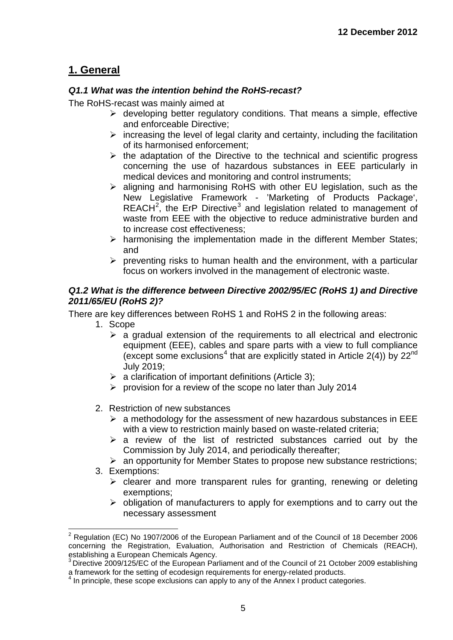## <span id="page-4-0"></span>**1. General**

### <span id="page-4-1"></span>*Q1.1 What was the intention behind the RoHS-recast?*

The RoHS-recast was mainly aimed at

- $\triangleright$  developing better regulatory conditions. That means a simple, effective and enforceable Directive;
- $\triangleright$  increasing the level of legal clarity and certainty, including the facilitation of its harmonised enforcement;
- $\triangleright$  the adaptation of the Directive to the technical and scientific progress concerning the use of hazardous substances in EEE particularly in medical devices and monitoring and control instruments;
- $\triangleright$  aligning and harmonising RoHS with other EU legislation, such as the New Legislative Framework - 'Marketing of Products Package',  $REACH<sup>2</sup>$  $REACH<sup>2</sup>$  $REACH<sup>2</sup>$ , the ErP Directive<sup>[3](#page-4-3)</sup> and legislation related to management of waste from EEE with the objective to reduce administrative burden and to increase cost effectiveness;
- $\triangleright$  harmonising the implementation made in the different Member States; and
- $\triangleright$  preventing risks to human health and the environment, with a particular focus on workers involved in the management of electronic waste.

#### <span id="page-4-2"></span>*Q1.2 What is the difference between Directive 2002/95/EC (RoHS 1) and Directive 2011/65/EU (RoHS 2)?*

There are key differences between RoHS 1 and RoHS 2 in the following areas:

- 1. Scope
	- $\triangleright$  a gradual extension of the requirements to all electrical and electronic equipment (EEE), cables and spare parts with a view to full compliance (except some exclusions<sup>[4](#page-4-4)</sup> that are explicitly stated in Article 2(4)) by  $22^{nd}$ July 2019;
	- $\triangleright$  a clarification of important definitions (Article 3);
	- $\triangleright$  provision for a review of the scope no later than July 2014
- 2. Restriction of new substances
	- $\triangleright$  a methodology for the assessment of new hazardous substances in EEE with a view to restriction mainly based on waste-related criteria;
	- $\triangleright$  a review of the list of restricted substances carried out by the Commission by July 2014, and periodically thereafter;
	- $\triangleright$  an opportunity for Member States to propose new substance restrictions;
- 3. Exemptions:
	- $\triangleright$  clearer and more transparent rules for granting, renewing or deleting exemptions;
	- $\triangleright$  obligation of manufacturers to apply for exemptions and to carry out the necessary assessment

 $2$  Regulation (EC) No 1907/2006 of the European Parliament and of the Council of 18 December 2006 concerning the Registration, Evaluation, Authorisation and Restriction of Chemicals (REACH), establishing a European Chemicals Agency.

<span id="page-4-3"></span> $3$  Directive 2009/125/EC of the European Parliament and of the Council of 21 October 2009 establishing a framework for the setting of ecodesign requirements for energy-related products.

<span id="page-4-4"></span>In principle, these scope exclusions can apply to any of the Annex I product categories.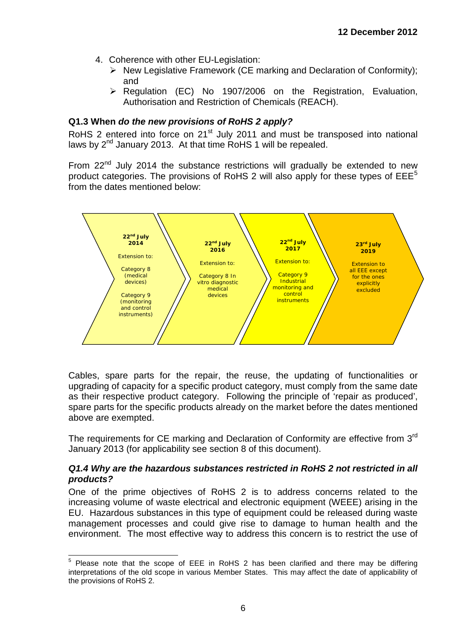- 4. Coherence with other EU-Legislation:
	- $\triangleright$  New Legislative Framework (CE marking and Declaration of Conformity); and
	- $\triangleright$  Regulation (EC) No 1907/2006 on the Registration, Evaluation, Authorisation and Restriction of Chemicals (REACH).

#### <span id="page-5-0"></span>**Q1.3 When** *do the new provisions of RoHS 2 apply?*

RoHS 2 entered into force on 21<sup>st</sup> July 2011 and must be transposed into national laws by 2<sup>nd</sup> January 2013. At that time RoHS 1 will be repealed.

From  $22<sup>nd</sup>$  July 2014 the substance restrictions will gradually be extended to new product categories. The provisions of RoHS 2 will also apply for these types of  $EEE<sup>5</sup>$  $EEE<sup>5</sup>$  $EEE<sup>5</sup>$ from the dates mentioned below:



Cables, spare parts for the repair, the reuse, the updating of functionalities or upgrading of capacity for a specific product category, must comply from the same date as their respective product category. Following the principle of 'repair as produced', spare parts for the specific products already on the market before the dates mentioned above are exempted.

The requirements for CE marking and Declaration of Conformity are effective from 3<sup>rd</sup> January 2013 (for applicability see section 8 of this document).

#### <span id="page-5-1"></span>*Q1.4 Why are the hazardous substances restricted in RoHS 2 not restricted in all products?*

One of the prime objectives of RoHS 2 is to address concerns related to the increasing volume of waste electrical and electronic equipment (WEEE) arising in the EU. Hazardous substances in this type of equipment could be released during waste management processes and could give rise to damage to human health and the environment. The most effective way to address this concern is to restrict the use of

<span id="page-5-2"></span> $5$  Please note that the scope of EEE in RoHS 2 has been clarified and there may be differing interpretations of the old scope in various Member States. This may affect the date of applicability of the provisions of RoHS 2.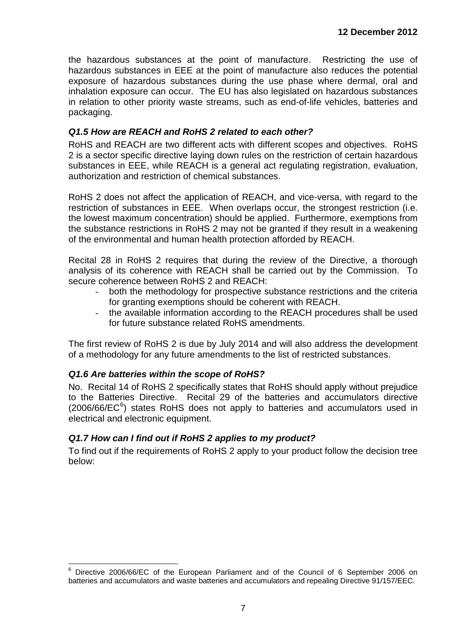the hazardous substances at the point of manufacture. Restricting the use of hazardous substances in EEE at the point of manufacture also reduces the potential exposure of hazardous substances during the use phase where dermal, oral and inhalation exposure can occur. The EU has also legislated on hazardous substances in relation to other priority waste streams, such as end-of-life vehicles, batteries and packaging.

### <span id="page-6-0"></span>*Q1.5 How are REACH and RoHS 2 related to each other?*

RoHS and REACH are two different acts with different scopes and objectives. RoHS 2 is a sector specific directive laying down rules on the restriction of certain hazardous substances in EEE, while REACH is a general act regulating registration, evaluation, authorization and restriction of chemical substances.

RoHS 2 does not affect the application of REACH, and vice-versa, with regard to the restriction of substances in EEE. When overlaps occur, the strongest restriction (i.e. the lowest maximum concentration) should be applied. Furthermore, exemptions from the substance restrictions in RoHS 2 may not be granted if they result in a weakening of the environmental and human health protection afforded by REACH.

Recital 28 in RoHS 2 requires that during the review of the Directive, a thorough analysis of its coherence with REACH shall be carried out by the Commission. To secure coherence between RoHS 2 and REACH:

- both the methodology for prospective substance restrictions and the criteria for granting exemptions should be coherent with REACH.
- the available information according to the REACH procedures shall be used for future substance related RoHS amendments.

The first review of RoHS 2 is due by July 2014 and will also address the development of a methodology for any future amendments to the list of restricted substances.

#### <span id="page-6-1"></span>*Q1.6 Are batteries within the scope of RoHS?*

No. Recital 14 of RoHS 2 specifically states that RoHS should apply without prejudice to the Batteries Directive. Recital 29 of the batteries and accumulators directive  $(2006/66/EC<sup>6</sup>)$  $(2006/66/EC<sup>6</sup>)$  $(2006/66/EC<sup>6</sup>)$  states RoHS does not apply to batteries and accumulators used in electrical and electronic equipment.

#### <span id="page-6-2"></span>*Q1.7 How can I find out if RoHS 2 applies to my product?*

To find out if the requirements of RoHS 2 apply to your product follow the decision tree below:

<span id="page-6-3"></span> <sup>6</sup> Directive 2006/66/EC of the European Parliament and of the Council of 6 September 2006 on batteries and accumulators and waste batteries and accumulators and repealing Directive 91/157/EEC.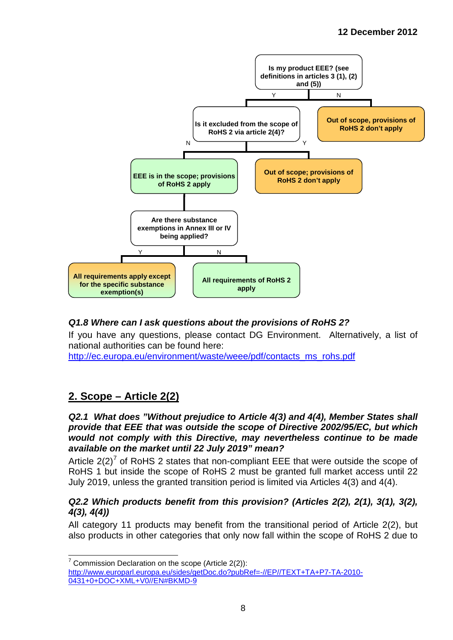

## <span id="page-7-0"></span>*Q1.8 Where can I ask questions about the provisions of RoHS 2?*

If you have any questions, please contact DG Environment. Alternatively, a list of national authorities can be found here:

[http://ec.europa.eu/environment/waste/weee/pdf/contacts\\_ms\\_rohs.pdf](http://ec.europa.eu/environment/waste/weee/pdf/contacts_ms_rohs.pdf)

## <span id="page-7-1"></span>**2. Scope – Article 2(2)**

<span id="page-7-2"></span>*Q2.1 What does "Without prejudice to Article 4(3) and 4(4), Member States shall provide that EEE that was outside the scope of Directive 2002/95/EC, but which would not comply with this Directive, may nevertheless continue to be made available on the market until 22 July 2019" mean?* 

Article  $2(2)^7$  $2(2)^7$  of RoHS 2 states that non-compliant EEE that were outside the scope of RoHS 1 but inside the scope of RoHS 2 must be granted full market access until 22 July 2019, unless the granted transition period is limited via Articles 4(3) and 4(4).

#### <span id="page-7-3"></span>*Q2.2 Which products benefit from this provision? (Articles 2(2), 2(1), 3(1), 3(2), 4(3), 4(4))*

All category 11 products may benefit from the transitional period of Article 2(2), but also products in other categories that only now fall within the scope of RoHS 2 due to

<span id="page-7-4"></span> $7$  Commission Declaration on the scope (Article 2(2)):

[http://www.europarl.europa.eu/sides/getDoc.do?pubRef=-//EP//TEXT+TA+P7-TA-2010-](http://www.europarl.europa.eu/sides/getDoc.do?pubRef=-//EP//TEXT+TA+P7-TA-2010-0431+0+DOC+XML+V0//EN#BKMD-9) [0431+0+DOC+XML+V0//EN#BKMD-9](http://www.europarl.europa.eu/sides/getDoc.do?pubRef=-//EP//TEXT+TA+P7-TA-2010-0431+0+DOC+XML+V0//EN#BKMD-9)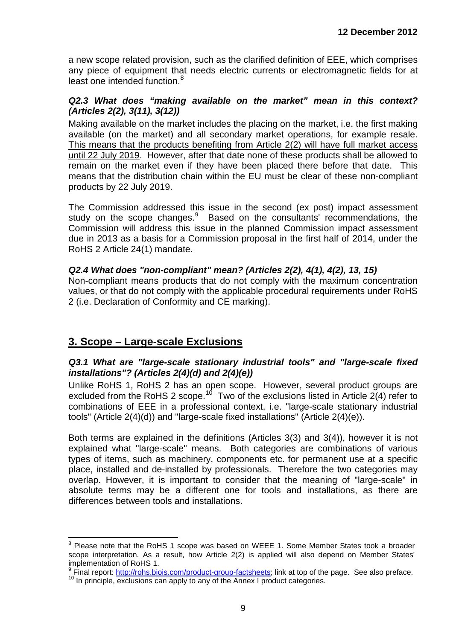a new scope related provision, such as the clarified definition of EEE, which comprises any piece of equipment that needs electric currents or electromagnetic fields for at least one intended function.<sup>[8](#page-7-4)</sup>

#### <span id="page-8-0"></span>*Q2.3 What does "making available on the market" mean in this context? (Articles 2(2), 3(11), 3(12))*

Making available on the market includes the placing on the market, i.e. the first making available (on the market) and all secondary market operations, for example resale. This means that the products benefiting from Article 2(2) will have full market access until 22 July 2019. However, after that date none of these products shall be allowed to remain on the market even if they have been placed there before that date. This means that the distribution chain within the EU must be clear of these non-compliant products by 22 July 2019.

The Commission addressed this issue in the second (ex post) impact assessment study on the scope changes.<sup>[9](#page-8-3)</sup> Based on the consultants' recommendations, the Commission will address this issue in the planned Commission impact assessment due in 2013 as a basis for a Commission proposal in the first half of 2014, under the RoHS 2 Article 24(1) mandate.

## *Q2.4 What does "non-compliant" mean? (Articles 2(2), 4(1), 4(2), 13, 15)*

Non-compliant means products that do not comply with the maximum concentration values, or that do not comply with the applicable procedural requirements under RoHS 2 (i.e. Declaration of Conformity and CE marking).

## <span id="page-8-1"></span>**3. Scope – Large-scale Exclusions**

#### <span id="page-8-2"></span>*Q3.1 What are "large-scale stationary industrial tools" and "large-scale fixed installations"? (Articles 2(4)(d) and 2(4)(e))*

Unlike RoHS 1, RoHS 2 has an open scope. However, several product groups are excluded from the RoHS 2 scope.<sup>[10](#page-8-4)</sup> Two of the exclusions listed in Article  $2(4)$  refer to combinations of EEE in a professional context, i.e. "large-scale stationary industrial tools" (Article 2(4)(d)) and "large-scale fixed installations" (Article 2(4)(e)).

Both terms are explained in the definitions (Articles 3(3) and 3(4)), however it is not explained what "large-scale" means. Both categories are combinations of various types of items, such as machinery, components etc. for permanent use at a specific place, installed and de-installed by professionals. Therefore the two categories may overlap. However, it is important to consider that the meaning of "large-scale" in absolute terms may be a different one for tools and installations, as there are differences between tools and installations.

<sup>&</sup>lt;sup>8</sup> Please note that the RoHS 1 scope was based on WEEE 1. Some Member States took a broader scope interpretation. As a result, how Article 2(2) is applied will also depend on Member States' implementation of RoHS 1.

<span id="page-8-4"></span><span id="page-8-3"></span> $9$  Final report: [http://rohs.biois.com/product-group-factsheets;](http://rohs.biois.com/product-group-factsheets) link at top of the page. See also preface.<br><sup>10</sup> In principle, exclusions can apply to any of the Annex I product categories.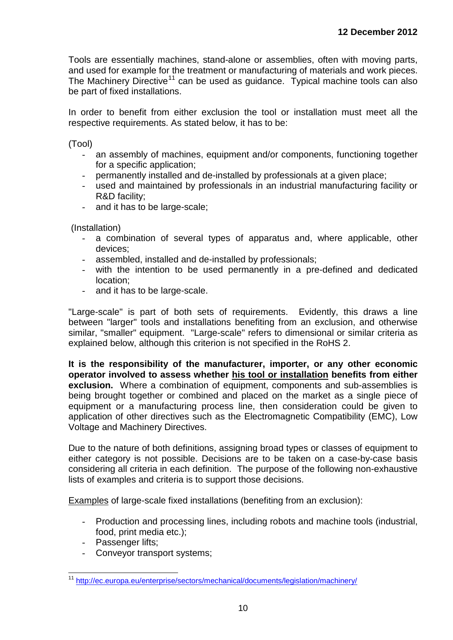Tools are essentially machines, stand-alone or assemblies, often with moving parts, and used for example for the treatment or manufacturing of materials and work pieces. The Machinery Directive<sup>[11](#page-8-4)</sup> can be used as guidance. Typical machine tools can also be part of fixed installations.

In order to benefit from either exclusion the tool or installation must meet all the respective requirements. As stated below, it has to be:

(Tool)

- an assembly of machines, equipment and/or components, functioning together for a specific application;
- permanently installed and de-installed by professionals at a given place;
- used and maintained by professionals in an industrial manufacturing facility or R&D facility;
- and it has to be large-scale;

(Installation)

- a combination of several types of apparatus and, where applicable, other devices;
- assembled, installed and de-installed by professionals;
- with the intention to be used permanently in a pre-defined and dedicated location;
- and it has to be large-scale.

"Large-scale" is part of both sets of requirements. Evidently, this draws a line between "larger" tools and installations benefiting from an exclusion, and otherwise similar, "smaller" equipment. "Large-scale" refers to dimensional or similar criteria as explained below, although this criterion is not specified in the RoHS 2.

**It is the responsibility of the manufacturer, importer, or any other economic operator involved to assess whether his tool or installation benefits from either exclusion.** Where a combination of equipment, components and sub-assemblies is being brought together or combined and placed on the market as a single piece of equipment or a manufacturing process line, then consideration could be given to application of other directives such as the Electromagnetic Compatibility (EMC), Low Voltage and Machinery Directives.

Due to the nature of both definitions, assigning broad types or classes of equipment to either category is not possible. Decisions are to be taken on a case-by-case basis considering all criteria in each definition. The purpose of the following non-exhaustive lists of examples and criteria is to support those decisions.

Examples of large-scale fixed installations (benefiting from an exclusion):

- Production and processing lines, including robots and machine tools (industrial, food, print media etc.);
- Passenger lifts;
- Conveyor transport systems;

<span id="page-9-0"></span> <sup>11</sup> <http://ec.europa.eu/enterprise/sectors/mechanical/documents/legislation/machinery/>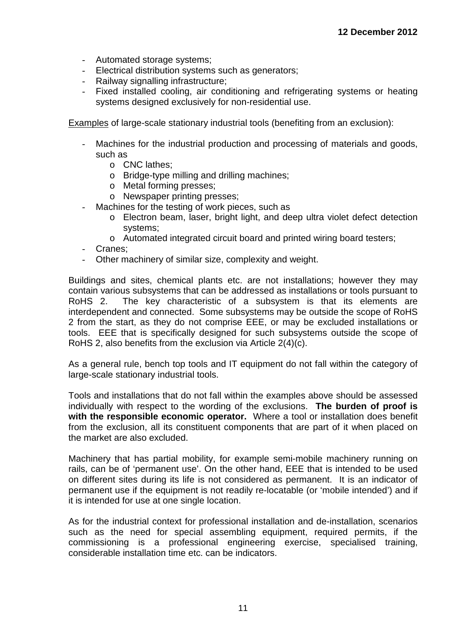- Automated storage systems;
- Electrical distribution systems such as generators;
- Railway signalling infrastructure:
- Fixed installed cooling, air conditioning and refrigerating systems or heating systems designed exclusively for non-residential use.

Examples of large-scale stationary industrial tools (benefiting from an exclusion):

- Machines for the industrial production and processing of materials and goods, such as
	- o CNC lathes;
	- o Bridge-type milling and drilling machines;
	- o Metal forming presses;
	- o Newspaper printing presses;
- Machines for the testing of work pieces, such as
	- o Electron beam, laser, bright light, and deep ultra violet defect detection systems;
	- o Automated integrated circuit board and printed wiring board testers;
- Cranes:
- Other machinery of similar size, complexity and weight.

Buildings and sites, chemical plants etc. are not installations; however they may contain various subsystems that can be addressed as installations or tools pursuant to RoHS 2. The key characteristic of a subsystem is that its elements are interdependent and connected. Some subsystems may be outside the scope of RoHS 2 from the start, as they do not comprise EEE, or may be excluded installations or tools. EEE that is specifically designed for such subsystems outside the scope of RoHS 2, also benefits from the exclusion via Article 2(4)(c).

As a general rule, bench top tools and IT equipment do not fall within the category of large-scale stationary industrial tools.

Tools and installations that do not fall within the examples above should be assessed individually with respect to the wording of the exclusions. **The burden of proof is with the responsible economic operator.** Where a tool or installation does benefit from the exclusion, all its constituent components that are part of it when placed on the market are also excluded.

Machinery that has partial mobility, for example semi-mobile machinery running on rails, can be of 'permanent use'. On the other hand, EEE that is intended to be used on different sites during its life is not considered as permanent. It is an indicator of permanent use if the equipment is not readily re-locatable (or 'mobile intended') and if it is intended for use at one single location.

As for the industrial context for professional installation and de-installation, scenarios such as the need for special assembling equipment, required permits, if the commissioning is a professional engineering exercise, specialised training, considerable installation time etc. can be indicators.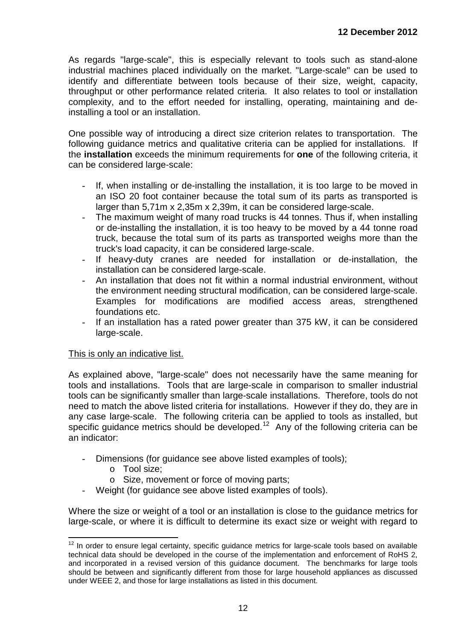As regards "large-scale", this is especially relevant to tools such as stand-alone industrial machines placed individually on the market. "Large-scale" can be used to identify and differentiate between tools because of their size, weight, capacity, throughput or other performance related criteria. It also relates to tool or installation complexity, and to the effort needed for installing, operating, maintaining and deinstalling a tool or an installation.

One possible way of introducing a direct size criterion relates to transportation. The following guidance metrics and qualitative criteria can be applied for installations. If the **installation** exceeds the minimum requirements for **one** of the following criteria, it can be considered large-scale:

- If, when installing or de-installing the installation, it is too large to be moved in an ISO 20 foot container because the total sum of its parts as transported is larger than 5,71m x 2,35m x 2,39m, it can be considered large-scale.
- The maximum weight of many road trucks is 44 tonnes. Thus if, when installing or de-installing the installation, it is too heavy to be moved by a 44 tonne road truck, because the total sum of its parts as transported weighs more than the truck's load capacity, it can be considered large-scale.
- If heavy-duty cranes are needed for installation or de-installation, the installation can be considered large-scale.
- An installation that does not fit within a normal industrial environment, without the environment needing structural modification, can be considered large-scale. Examples for modifications are modified access areas, strengthened foundations etc.
- If an installation has a rated power greater than 375 kW, it can be considered large-scale.

#### This is only an indicative list.

As explained above, "large-scale" does not necessarily have the same meaning for tools and installations. Tools that are large-scale in comparison to smaller industrial tools can be significantly smaller than large-scale installations. Therefore, tools do not need to match the above listed criteria for installations. However if they do, they are in any case large-scale. The following criteria can be applied to tools as installed, but specific guidance metrics should be developed.<sup>[12](#page-9-0)</sup> Any of the following criteria can be an indicator:

- Dimensions (for guidance see above listed examples of tools);
	- o Tool size;
	- o Size, movement or force of moving parts;
- Weight (for guidance see above listed examples of tools).

Where the size or weight of a tool or an installation is close to the guidance metrics for large-scale, or where it is difficult to determine its exact size or weight with regard to

<span id="page-11-0"></span> $12$  In order to ensure legal certainty, specific guidance metrics for large-scale tools based on available technical data should be developed in the course of the implementation and enforcement of RoHS 2, and incorporated in a revised version of this guidance document. The benchmarks for large tools should be between and significantly different from those for large household appliances as discussed under WEEE 2, and those for large installations as listed in this document.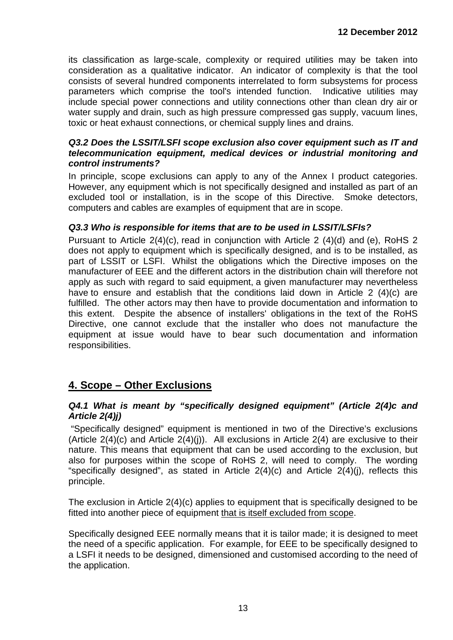its classification as large-scale, complexity or required utilities may be taken into consideration as a qualitative indicator. An indicator of complexity is that the tool consists of several hundred components interrelated to form subsystems for process parameters which comprise the tool's intended function. Indicative utilities may include special power connections and utility connections other than clean dry air or water supply and drain, such as high pressure compressed gas supply, vacuum lines, toxic or heat exhaust connections, or chemical supply lines and drains.

#### <span id="page-12-0"></span>*Q3.2 Does the LSSIT/LSFI scope exclusion also cover equipment such as IT and telecommunication equipment, medical devices or industrial monitoring and control instruments?*

In principle, scope exclusions can apply to any of the Annex I product categories. However, any equipment which is not specifically designed and installed as part of an excluded tool or installation, is in the scope of this Directive. Smoke detectors, computers and cables are examples of equipment that are in scope.

#### <span id="page-12-1"></span>*Q3.3 Who is responsible for items that are to be used in LSSIT/LSFIs?*

Pursuant to Article 2(4)(c), read in conjunction with Article 2 (4)(d) and (e), RoHS 2 does not apply to equipment which is specifically designed, and is to be installed, as part of LSSIT or LSFI. Whilst the obligations which the Directive imposes on the manufacturer of EEE and the different actors in the distribution chain will therefore not apply as such with regard to said equipment, a given manufacturer may nevertheless have to ensure and establish that the conditions laid down in Article 2 (4)(c) are fulfilled. The other actors may then have to provide documentation and information to this extent. Despite the absence of installers' obligations in the text of the RoHS Directive, one cannot exclude that the installer who does not manufacture the equipment at issue would have to bear such documentation and information responsibilities.

## <span id="page-12-2"></span>**4. Scope – Other Exclusions**

#### <span id="page-12-3"></span>*Q4.1 What is meant by "specifically designed equipment" (Article 2(4)c and Article 2(4)j)*

"Specifically designed" equipment is mentioned in two of the Directive's exclusions (Article  $2(4)(c)$  and Article  $2(4)(i)$ ). All exclusions in Article  $2(4)$  are exclusive to their nature. This means that equipment that can be used according to the exclusion, but also for purposes within the scope of RoHS 2, will need to comply. The wording "specifically designed", as stated in Article  $2(4)(c)$  and Article  $2(4)(i)$ , reflects this principle.

The exclusion in Article 2(4)(c) applies to equipment that is specifically designed to be fitted into another piece of equipment that is itself excluded from scope.

Specifically designed EEE normally means that it is tailor made; it is designed to meet the need of a specific application. For example, for EEE to be specifically designed to a LSFI it needs to be designed, dimensioned and customised according to the need of the application.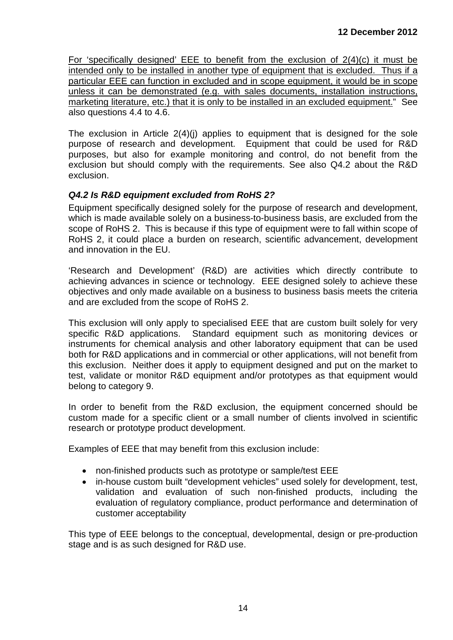For 'specifically designed' EEE to benefit from the exclusion of  $2(4)(c)$  it must be intended only to be installed in another type of equipment that is excluded. Thus if a particular EEE can function in excluded and in scope equipment, it would be in scope unless it can be demonstrated (e.g. with sales documents, installation instructions, marketing literature, etc.) that it is only to be installed in an excluded equipment." See also questions 4.4 to 4.6.

The exclusion in Article 2(4)(j) applies to equipment that is designed for the sole purpose of research and development. Equipment that could be used for R&D purposes, but also for example monitoring and control, do not benefit from the exclusion but should comply with the requirements. See also Q4.2 about the R&D exclusion.

#### <span id="page-13-0"></span>*Q4.2 Is R&D equipment excluded from RoHS 2?*

Equipment specifically designed solely for the purpose of research and development, which is made available solely on a business-to-business basis, are excluded from the scope of RoHS 2. This is because if this type of equipment were to fall within scope of RoHS 2, it could place a burden on research, scientific advancement, development and innovation in the EU.

'Research and Development' (R&D) are activities which directly contribute to achieving advances in science or technology. EEE designed solely to achieve these objectives and only made available on a business to business basis meets the criteria and are excluded from the scope of RoHS 2.

This exclusion will only apply to specialised EEE that are custom built solely for very specific R&D applications. Standard equipment such as monitoring devices or instruments for chemical analysis and other laboratory equipment that can be used both for R&D applications and in commercial or other applications, will not benefit from this exclusion. Neither does it apply to equipment designed and put on the market to test, validate or monitor R&D equipment and/or prototypes as that equipment would belong to category 9.

In order to benefit from the R&D exclusion, the equipment concerned should be custom made for a specific client or a small number of clients involved in scientific research or prototype product development.

Examples of EEE that may benefit from this exclusion include:

- non-finished products such as prototype or sample/test EEE
- in-house custom built "development vehicles" used solely for development, test, validation and evaluation of such non-finished products, including the evaluation of regulatory compliance, product performance and determination of customer acceptability

This type of EEE belongs to the conceptual, developmental, design or pre-production stage and is as such designed for R&D use.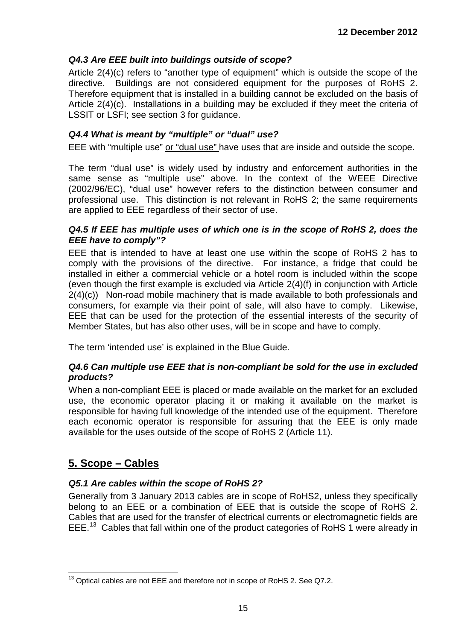## <span id="page-14-0"></span>*Q4.3 Are EEE built into buildings outside of scope?*

Article 2(4)(c) refers to "another type of equipment" which is outside the scope of the directive. Buildings are not considered equipment for the purposes of RoHS 2. Therefore equipment that is installed in a building cannot be excluded on the basis of Article 2(4)(c). Installations in a building may be excluded if they meet the criteria of LSSIT or LSFI; see section 3 for guidance.

### <span id="page-14-1"></span>*Q4.4 What is meant by "multiple" or "dual" use?*

EEE with "multiple use" or "dual use" have uses that are inside and outside the scope.

The term "dual use" is widely used by industry and enforcement authorities in the same sense as "multiple use" above. In the context of the WEEE Directive (2002/96/EC), "dual use" however refers to the distinction between consumer and professional use. This distinction is not relevant in RoHS 2; the same requirements are applied to EEE regardless of their sector of use.

#### <span id="page-14-2"></span>*Q4.5 If EEE has multiple uses of which one is in the scope of RoHS 2, does the EEE have to comply"?*

EEE that is intended to have at least one use within the scope of RoHS 2 has to comply with the provisions of the directive. For instance, a fridge that could be installed in either a commercial vehicle or a hotel room is included within the scope (even though the first example is excluded via Article 2(4)(f) in conjunction with Article 2(4)(c))Non-road mobile machinery that is made available to both professionals and consumers, for example via their point of sale, will also have to comply. Likewise, EEE that can be used for the protection of the essential interests of the security of Member States, but has also other uses, will be in scope and have to comply.

The term 'intended use' is explained in the Blue Guide.

#### <span id="page-14-3"></span>*Q4.6 Can multiple use EEE that is non-compliant be sold for the use in excluded products?*

When a non-compliant EEE is placed or made available on the market for an excluded use, the economic operator placing it or making it available on the market is responsible for having full knowledge of the intended use of the equipment. Therefore each economic operator is responsible for assuring that the EEE is only made available for the uses outside of the scope of RoHS 2 (Article 11).

## <span id="page-14-4"></span>**5. Scope – Cables**

## <span id="page-14-5"></span>*Q5.1 Are cables within the scope of RoHS 2?*

Generally from 3 January 2013 cables are in scope of RoHS2, unless they specifically belong to an EEE or a combination of EEE that is outside the scope of RoHS 2. Cables that are used for the transfer of electrical currents or electromagnetic fields are EEE.<sup>[13](#page-11-0)</sup> Cables that fall within one of the product categories of RoHS 1 were already in

<span id="page-14-7"></span><span id="page-14-6"></span><sup>&</sup>lt;sup>13</sup> Optical cables are not EEE and therefore not in scope of RoHS 2. See Q7.2.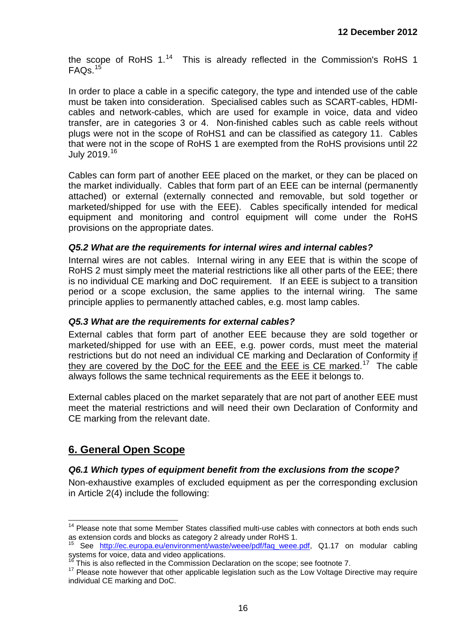the scope of RoHS  $1.^{14}$  $1.^{14}$  $1.^{14}$  This is already reflected in the Commission's RoHS 1  $FAOs.<sup>15</sup>$  $FAOs.<sup>15</sup>$  $FAOs.<sup>15</sup>$ 

In order to place a cable in a specific category, the type and intended use of the cable must be taken into consideration. Specialised cables such as SCART-cables, HDMIcables and network-cables, which are used for example in voice, data and video transfer, are in categories 3 or 4. Non-finished cables such as cable reels without plugs were not in the scope of RoHS1 and can be classified as category 11. Cables that were not in the scope of RoHS 1 are exempted from the RoHS provisions until 22 July 2019.[16](#page-15-4)

Cables can form part of another EEE placed on the market, or they can be placed on the market individually. Cables that form part of an EEE can be internal (permanently attached) or external (externally connected and removable, but sold together or marketed/shipped for use with the EEE). Cables specifically intended for medical equipment and monitoring and control equipment will come under the RoHS provisions on the appropriate dates.

#### <span id="page-15-0"></span>*Q5.2 What are the requirements for internal wires and internal cables?*

Internal wires are not cables. Internal wiring in any EEE that is within the scope of RoHS 2 must simply meet the material restrictions like all other parts of the EEE; there is no individual CE marking and DoC requirement. If an EEE is subject to a transition period or a scope exclusion, the same applies to the internal wiring. The same principle applies to permanently attached cables, e.g. most lamp cables.

#### <span id="page-15-1"></span>*Q5.3 What are the requirements for external cables?*

External cables that form part of another EEE because they are sold together or marketed/shipped for use with an EEE, e.g. power cords, must meet the material restrictions but do not need an individual CE marking and Declaration of Conformity if they are covered by the DoC for the EEE and the EEE is CE marked.<sup>17</sup> The cable always follows the same technical requirements as the EEE it belongs to.

External cables placed on the market separately that are not part of another EEE must meet the material restrictions and will need their own Declaration of Conformity and CE marking from the relevant date.

## <span id="page-15-2"></span>**6. General Open Scope**

#### <span id="page-15-3"></span>*Q6.1 Which types of equipment benefit from the exclusions from the scope?*

Non-exhaustive examples of excluded equipment as per the corresponding exclusion in Article 2(4) include the following:

 $14$  Please note that some Member States classified multi-use cables with connectors at both ends such as extension cords and blocks as category 2 already under RoHS 1.

See [http://ec.europa.eu/environment/waste/weee/pdf/faq\\_weee.pdf,](http://ec.europa.eu/environment/waste/weee/pdf/faq_weee.pdf) Q1.17 on modular cabling systems for voice, data and video applications.<br><sup>16</sup> This is also reflected in the Commission Declaration on the scope: see footnote 7.

<span id="page-15-5"></span><span id="page-15-4"></span> $17$  Please note however that other applicable legislation such as the Low Voltage Directive may require individual CE marking and DoC.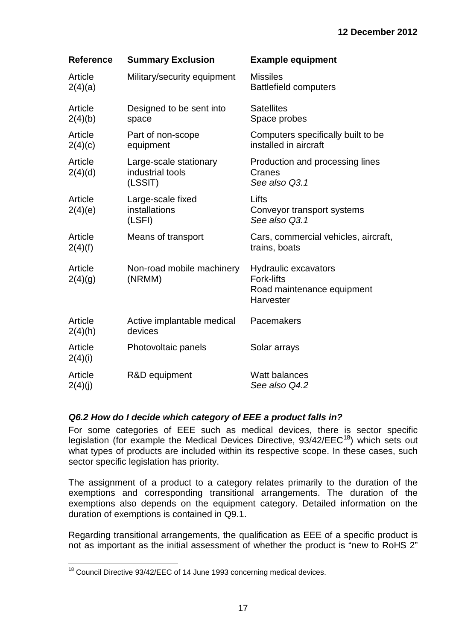| <b>Reference</b>   | <b>Summary Exclusion</b>                              | <b>Example equipment</b>                                                                    |
|--------------------|-------------------------------------------------------|---------------------------------------------------------------------------------------------|
| Article<br>2(4)(a) | Military/security equipment                           | <b>Missiles</b><br><b>Battlefield computers</b>                                             |
| Article<br>2(4)(b) | Designed to be sent into<br>space                     | <b>Satellites</b><br>Space probes                                                           |
| Article<br>2(4)(c) | Part of non-scope<br>equipment                        | Computers specifically built to be<br>installed in aircraft                                 |
| Article<br>2(4)(d) | Large-scale stationary<br>industrial tools<br>(LSSIT) | Production and processing lines<br>Cranes<br>See also Q3.1                                  |
| Article<br>2(4)(e) | Large-scale fixed<br>installations<br>(LSFI)          | Lifts<br>Conveyor transport systems<br>See also Q3.1                                        |
| Article<br>2(4)(f) | Means of transport                                    | Cars, commercial vehicles, aircraft,<br>trains, boats                                       |
| Article<br>2(4)(g) | Non-road mobile machinery<br>(NRMM)                   | <b>Hydraulic excavators</b><br><b>Fork-lifts</b><br>Road maintenance equipment<br>Harvester |
| Article<br>2(4)(h) | Active implantable medical<br>devices                 | Pacemakers                                                                                  |
| Article<br>2(4)(i) | Photovoltaic panels                                   | Solar arrays                                                                                |
| Article<br>2(4)(j) | R&D equipment                                         | Watt balances<br>See also Q4.2                                                              |

#### <span id="page-16-0"></span>*Q6.2 How do I decide which category of EEE a product falls in?*

For some categories of EEE such as medical devices, there is sector specific legislation (for example the Medical Devices Directive,  $93/42/EEC^{18}$  $93/42/EEC^{18}$  $93/42/EEC^{18}$ ) which sets out what types of products are included within its respective scope. In these cases, such sector specific legislation has priority.

The assignment of a product to a category relates primarily to the duration of the exemptions and corresponding transitional arrangements. The duration of the exemptions also depends on the equipment category. Detailed information on the duration of exemptions is contained in Q9.1.

Regarding transitional arrangements, the qualification as EEE of a specific product is not as important as the initial assessment of whether the product is "new to RoHS 2"

<span id="page-16-1"></span><sup>&</sup>lt;sup>18</sup> Council Directive 93/42/EEC of 14 June 1993 concerning medical devices.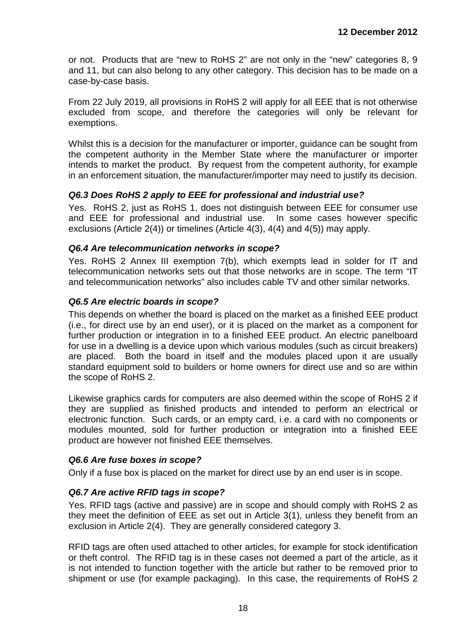or not. Products that are "new to RoHS 2" are not only in the "new" categories 8, 9 and 11, but can also belong to any other category. This decision has to be made on a case-by-case basis.

From 22 July 2019, all provisions in RoHS 2 will apply for all EEE that is not otherwise excluded from scope, and therefore the categories will only be relevant for exemptions.

Whilst this is a decision for the manufacturer or importer, guidance can be sought from the competent authority in the Member State where the manufacturer or importer intends to market the product. By request from the competent authority, for example in an enforcement situation, the manufacturer/importer may need to justify its decision.

#### <span id="page-17-0"></span>*Q6.3 Does RoHS 2 apply to EEE for professional and industrial use?*

Yes. RoHS 2, just as RoHS 1, does not distinguish between EEE for consumer use and EEE for professional and industrial use. In some cases however specific exclusions (Article 2(4)) or timelines (Article 4(3), 4(4) and 4(5)) may apply.

#### <span id="page-17-1"></span>*Q6.4 Are telecommunication networks in scope?*

Yes. RoHS 2 Annex III exemption 7(b), which exempts lead in solder for IT and telecommunication networks sets out that those networks are in scope. The term "IT and telecommunication networks" also includes cable TV and other similar networks.

#### <span id="page-17-2"></span>*Q6.5 Are electric boards in scope?*

This depends on whether the board is placed on the market as a finished EEE product (i.e., for direct use by an end user), or it is placed on the market as a component for further production or integration in to a finished EEE product. An electric panelboard for use in a dwelling is a device upon which various modules (such as circuit breakers) are placed. Both the board in itself and the modules placed upon it are usually standard equipment sold to builders or home owners for direct use and so are within the scope of RoHS 2.

Likewise graphics cards for computers are also deemed within the scope of RoHS 2 if they are supplied as finished products and intended to perform an electrical or electronic function. Such cards, or an empty card, i.e. a card with no components or modules mounted, sold for further production or integration into a finished EEE product are however not finished EEE themselves.

#### <span id="page-17-3"></span>*Q6.6 Are fuse boxes in scope?*

Only if a fuse box is placed on the market for direct use by an end user is in scope.

#### <span id="page-17-4"></span>*Q6.7 Are active RFID tags in scope?*

Yes. RFID tags (active and passive) are in scope and should comply with RoHS 2 as they meet the definition of EEE as set out in Article 3(1), unless they benefit from an exclusion in Article 2(4). They are generally considered category 3.

RFID tags are often used attached to other articles, for example for stock identification or theft control. The RFID tag is in these cases not deemed a part of the article, as it is not intended to function together with the article but rather to be removed prior to shipment or use (for example packaging). In this case, the requirements of RoHS 2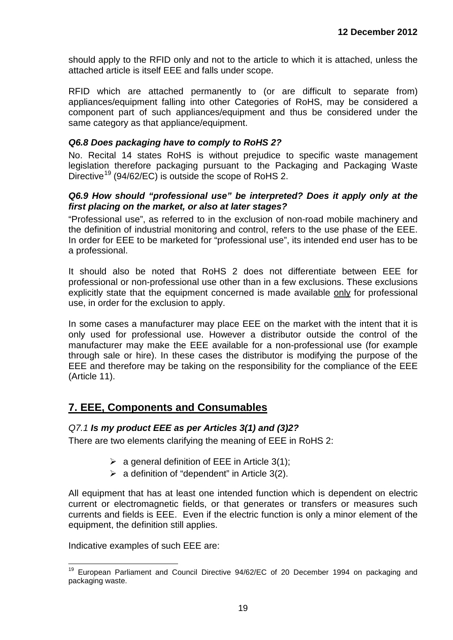should apply to the RFID only and not to the article to which it is attached, unless the attached article is itself EEE and falls under scope.

RFID which are attached permanently to (or are difficult to separate from) appliances/equipment falling into other Categories of RoHS, may be considered a component part of such appliances/equipment and thus be considered under the same category as that appliance/equipment.

#### <span id="page-18-0"></span>*Q6.8 Does packaging have to comply to RoHS 2?*

No. Recital 14 states RoHS is without prejudice to specific waste management legislation therefore packaging pursuant to the Packaging and Packaging Waste Directive<sup>[19](#page-16-1)</sup> (94/62/EC) is outside the scope of RoHS 2.

#### <span id="page-18-1"></span>*Q6.9 How should "professional use" be interpreted? Does it apply only at the first placing on the market, or also at later stages?*

"Professional use", as referred to in the exclusion of non-road mobile machinery and the definition of industrial monitoring and control, refers to the use phase of the EEE. In order for EEE to be marketed for "professional use", its intended end user has to be a professional.

It should also be noted that RoHS 2 does not differentiate between EEE for professional or non-professional use other than in a few exclusions. These exclusions explicitly state that the equipment concerned is made available only for professional use, in order for the exclusion to apply.

In some cases a manufacturer may place EEE on the market with the intent that it is only used for professional use. However a distributor outside the control of the manufacturer may make the EEE available for a non-professional use (for example through sale or hire). In these cases the distributor is modifying the purpose of the EEE and therefore may be taking on the responsibility for the compliance of the EEE (Article 11).

## <span id="page-18-2"></span>**7. EEE, Components and Consumables**

#### <span id="page-18-3"></span>*Q7.1 Is my product EEE as per Articles 3(1) and (3)2?*

There are two elements clarifying the meaning of EEE in RoHS 2:

- $\triangleright$  a general definition of EEE in Article 3(1);
- $\triangleright$  a definition of "dependent" in Article 3(2).

All equipment that has at least one intended function which is dependent on electric current or electromagnetic fields, or that generates or transfers or measures such currents and fields is EEE. Even if the electric function is only a minor element of the equipment, the definition still applies.

<span id="page-18-4"></span>Indicative examples of such EEE are:

<sup>&</sup>lt;sup>19</sup> European Parliament and Council Directive 94/62/EC of 20 December 1994 on packaging and packaging waste.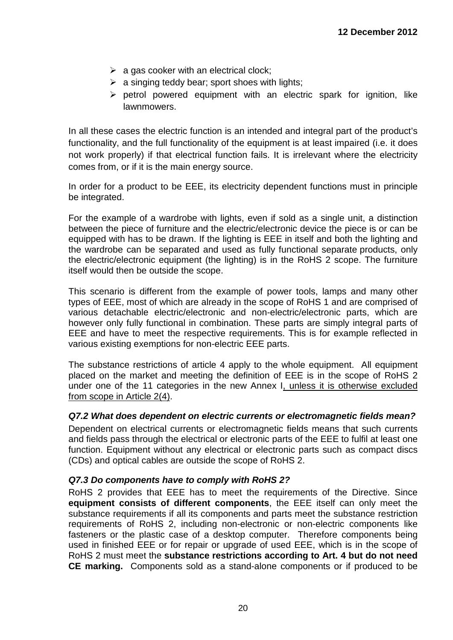- $\triangleright$  a gas cooker with an electrical clock;
- $\triangleright$  a singing teddy bear; sport shoes with lights;
- $\triangleright$  petrol powered equipment with an electric spark for ignition, like lawnmowers.

In all these cases the electric function is an intended and integral part of the product's functionality, and the full functionality of the equipment is at least impaired (i.e. it does not work properly) if that electrical function fails. It is irrelevant where the electricity comes from, or if it is the main energy source.

In order for a product to be EEE, its electricity dependent functions must in principle be integrated.

For the example of a wardrobe with lights, even if sold as a single unit, a distinction between the piece of furniture and the electric/electronic device the piece is or can be equipped with has to be drawn. If the lighting is EEE in itself and both the lighting and the wardrobe can be separated and used as fully functional separate products, only the electric/electronic equipment (the lighting) is in the RoHS 2 scope. The furniture itself would then be outside the scope.

This scenario is different from the example of power tools, lamps and many other types of EEE, most of which are already in the scope of RoHS 1 and are comprised of various detachable electric/electronic and non-electric/electronic parts, which are however only fully functional in combination. These parts are simply integral parts of EEE and have to meet the respective requirements. This is for example reflected in various existing exemptions for non-electric EEE parts.

The substance restrictions of article 4 apply to the whole equipment. All equipment placed on the market and meeting the definition of EEE is in the scope of RoHS 2 under one of the 11 categories in the new Annex I, unless it is otherwise excluded from scope in Article 2(4).

#### <span id="page-19-0"></span>*Q7.2 What does dependent on electric currents or electromagnetic fields mean?*

Dependent on electrical currents or electromagnetic fields means that such currents and fields pass through the electrical or electronic parts of the EEE to fulfil at least one function. Equipment without any electrical or electronic parts such as compact discs (CDs) and optical cables are outside the scope of RoHS 2.

#### <span id="page-19-1"></span>*Q7.3 Do components have to comply with RoHS 2?*

RoHS 2 provides that EEE has to meet the requirements of the Directive. Since **equipment consists of different components**, the EEE itself can only meet the substance requirements if all its components and parts meet the substance restriction requirements of RoHS 2, including non-electronic or non-electric components like fasteners or the plastic case of a desktop computer. Therefore components being used in finished EEE or for repair or upgrade of used EEE, which is in the scope of RoHS 2 must meet the **substance restrictions according to Art. 4 but do not need CE marking.** Components sold as a stand-alone components or if produced to be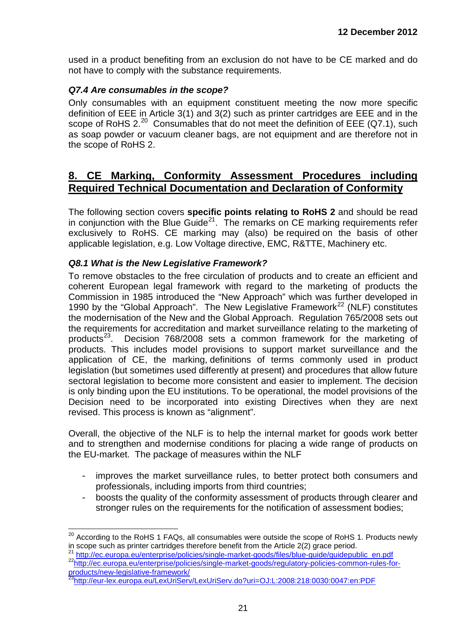used in a product benefiting from an exclusion do not have to be CE marked and do not have to comply with the substance requirements.

#### <span id="page-20-0"></span>*Q7.4 Are consumables in the scope?*

Only consumables with an equipment constituent meeting the now more specific definition of EEE in Article 3(1) and 3(2) such as printer cartridges are EEE and in the scope of RoHS  $2.^{20}$  $2.^{20}$  $2.^{20}$  Consumables that do not meet the definition of EEE (Q7.1), such as soap powder or vacuum cleaner bags, are not equipment and are therefore not in the scope of RoHS 2.

## <span id="page-20-1"></span>**8. CE Marking, Conformity Assessment Procedures including Required Technical Documentation and Declaration of Conformity**

The following section covers **specific points relating to RoHS 2** and should be read in conjunction with the Blue Guide<sup>21</sup>. The remarks on CE marking requirements refer exclusively to RoHS. CE marking may (also) be required on the basis of other applicable legislation, e.g. Low Voltage directive, EMC, R&TTE, Machinery etc.

#### <span id="page-20-2"></span>*Q8.1 What is the New Legislative Framework?*

To remove obstacles to the free circulation of products and to create an efficient and coherent European legal framework with regard to the marketing of products the Commission in 1985 introduced the "New Approach" which was further developed in 1990 by the "Global Approach". The New Legislative Framework<sup>[22](#page-20-4)</sup> (NLF) constitutes the modernisation of the New and the Global Approach. Regulation 765/2008 sets out the requirements for accreditation and market surveillance relating to the marketing of products<sup>[23](#page-20-5)</sup>. Decision 768/2008 sets a common framework for the marketing of products. This includes model provisions to support market surveillance and the application of CE, the marking, definitions of terms commonly used in product legislation (but sometimes used differently at present) and procedures that allow future sectoral legislation to become more consistent and easier to implement. The decision is only binding upon the EU institutions. To be operational, the model provisions of the Decision need to be incorporated into existing Directives when they are next revised. This process is known as "alignment".

Overall, the objective of the NLF is to help the internal market for goods work better and to strengthen and modernise conditions for placing a wide range of products on the EU-market. The package of measures within the NLF

- improves the market surveillance rules, to better protect both consumers and professionals, including imports from third countries;
- boosts the quality of the conformity assessment of products through clearer and stronger rules on the requirements for the notification of assessment bodies;

<span id="page-20-6"></span><sup>&</sup>lt;sup>20</sup> According to the RoHS 1 FAQs, all consumables were outside the scope of RoHS 1. Products newly<br>in scope such as printer cartridges therefore benefit from the Article 2(2) grace period.

<span id="page-20-4"></span><span id="page-20-3"></span><sup>&</sup>lt;sup>21</sup> [http://ec.europa.eu/enterprise/policies/single-market-goods/files/blue-guide/guidepublic\\_en.pdf](http://ec.europa.eu/enterprise/policies/single-market-goods/files/blue-guide/guidepublic_en.pdf)<br><sup>22</sup>http://ec.europa.eu/enterprise/policies/single-market-goods/regulatory-policies-common-rules-for[products/new-legislative-framework/](http://ec.europa.eu/enterprise/policies/single-market-goods/regulatory-policies-common-rules-for-products/new-legislative-framework/)

<span id="page-20-5"></span>[<sup>23</sup>http://eur-lex.europa.eu/LexUriServ/LexUriServ.do?uri=OJ:L:2008:218:0030:0047:en:PDF](http://eur-lex.europa.eu/LexUriServ/LexUriServ.do?uri=OJ:L:2008:218:0030:0047:en:PDF)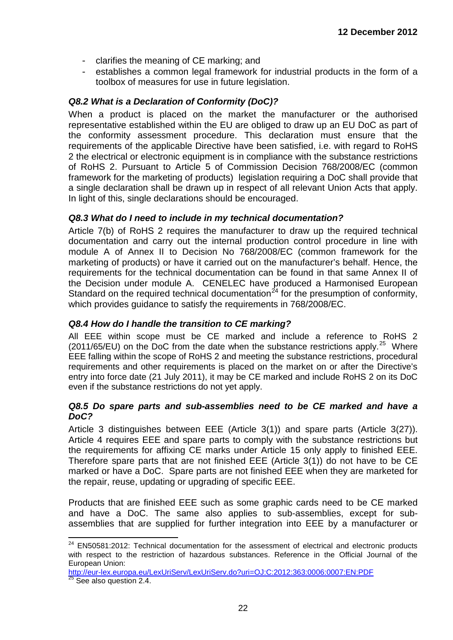- clarifies the meaning of CE marking; and
- establishes a common legal framework for industrial products in the form of a toolbox of measures for use in future legislation.

## <span id="page-21-0"></span>*Q8.2 What is a Declaration of Conformity (DoC)?*

When a product is placed on the market the manufacturer or the authorised representative established within the EU are obliged to draw up an EU DoC as part of the conformity assessment procedure. This declaration must ensure that the requirements of the applicable Directive have been satisfied, i.e. with regard to RoHS 2 the electrical or electronic equipment is in compliance with the substance restrictions of RoHS 2. Pursuant to Article 5 of Commission Decision 768/2008/EC (common framework for the marketing of products) legislation requiring a DoC shall provide that a single declaration shall be drawn up in respect of all relevant Union Acts that apply. In light of this, single declarations should be encouraged.

#### <span id="page-21-1"></span>*Q8.3 What do I need to include in my technical documentation?*

Article 7(b) of RoHS 2 requires the manufacturer to draw up the required technical documentation and carry out the internal production control procedure in line with module A of Annex II to Decision No 768/2008/EC (common framework for the marketing of products) or have it carried out on the manufacturer's behalf. Hence, the requirements for the technical documentation can be found in that same Annex II of the Decision under module A. CENELEC have produced a Harmonised European Standard on the required technical documentation<sup>[24](#page-20-6)</sup> for the presumption of conformity, which provides quidance to satisfy the requirements in 768/2008/EC.

### <span id="page-21-2"></span>*Q8.4 How do I handle the transition to CE marking?*

All EEE within scope must be CE marked and include a reference to RoHS 2  $(2011/65/EU)$  on the DoC from the date when the substance restrictions apply.<sup>[25](#page-21-4)</sup> Where EEE falling within the scope of RoHS 2 and meeting the substance restrictions, procedural requirements and other requirements is placed on the market on or after the Directive's entry into force date (21 July 2011), it may be CE marked and include RoHS 2 on its DoC even if the substance restrictions do not yet apply.

#### <span id="page-21-3"></span>*Q8.5 Do spare parts and sub-assemblies need to be CE marked and have a DoC?*

Article 3 distinguishes between EEE (Article 3(1)) and spare parts (Article 3(27)). Article 4 requires EEE and spare parts to comply with the substance restrictions but the requirements for affixing CE marks under Article 15 only apply to finished EEE. Therefore spare parts that are not finished EEE (Article 3(1)) do not have to be CE marked or have a DoC. Spare parts are not finished EEE when they are marketed for the repair, reuse, updating or upgrading of specific EEE.

Products that are finished EEE such as some graphic cards need to be CE marked and have a DoC. The same also applies to sub-assemblies, except for subassemblies that are supplied for further integration into EEE by a manufacturer or

<span id="page-21-5"></span><sup>&</sup>lt;sup>24</sup> EN50581:2012: Technical documentation for the assessment of electrical and electronic products with respect to the restriction of hazardous substances. Reference in the Official Journal of the European Union: European Union:

<span id="page-21-4"></span><sup>&</sup>lt;u><http://eur-lex.europa.eu/LexUriServ/LexUriServ.do?uri=OJ:C:2012:363:0006:0007:EN:PDF></u><br><sup>25</sup> See also question 2.4.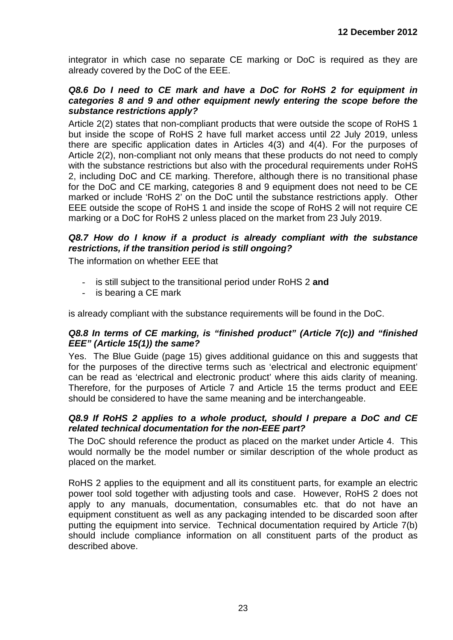integrator in which case no separate CE marking or DoC is required as they are already covered by the DoC of the EEE.

#### <span id="page-22-0"></span>*Q8.6 Do I need to CE mark and have a DoC for RoHS 2 for equipment in categories 8 and 9 and other equipment newly entering the scope before the substance restrictions apply?*

Article 2(2) states that non-compliant products that were outside the scope of RoHS 1 but inside the scope of RoHS 2 have full market access until 22 July 2019, unless there are specific application dates in Articles 4(3) and 4(4). For the purposes of Article 2(2), non-compliant not only means that these products do not need to comply with the substance restrictions but also with the procedural requirements under RoHS 2, including DoC and CE marking. Therefore, although there is no transitional phase for the DoC and CE marking, categories 8 and 9 equipment does not need to be CE marked or include 'RoHS 2' on the DoC until the substance restrictions apply. Other EEE outside the scope of RoHS 1 and inside the scope of RoHS 2 will not require CE marking or a DoC for RoHS 2 unless placed on the market from 23 July 2019.

### <span id="page-22-1"></span>*Q8.7 How do I know if a product is already compliant with the substance restrictions, if the transition period is still ongoing?*

The information on whether EEE that

- is still subject to the transitional period under RoHS 2 and
- is bearing a CE mark

<span id="page-22-2"></span>is already compliant with the substance requirements will be found in the DoC.

#### *Q8.8 In terms of CE marking, is "finished product" (Article 7(c)) and "finished EEE" (Article 15(1)) the same?*

Yes. The Blue Guide (page 15) gives additional guidance on this and suggests that for the purposes of the directive terms such as 'electrical and electronic equipment' can be read as 'electrical and electronic product' where this aids clarity of meaning. Therefore, for the purposes of Article 7 and Article 15 the terms product and EEE should be considered to have the same meaning and be interchangeable.

#### <span id="page-22-3"></span>*Q8.9 If RoHS 2 applies to a whole product, should I prepare a DoC and CE related technical documentation for the non-EEE part?*

The DoC should reference the product as placed on the market under Article 4. This would normally be the model number or similar description of the whole product as placed on the market.

RoHS 2 applies to the equipment and all its constituent parts, for example an electric power tool sold together with adjusting tools and case. However, RoHS 2 does not apply to any manuals, documentation, consumables etc. that do not have an equipment constituent as well as any packaging intended to be discarded soon after putting the equipment into service. Technical documentation required by Article 7(b) should include compliance information on all constituent parts of the product as described above.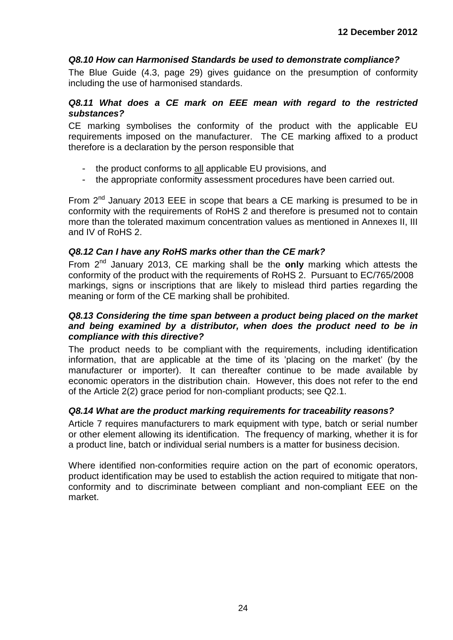#### <span id="page-23-0"></span>*Q8.10 How can Harmonised Standards be used to demonstrate compliance?*

The Blue Guide (4.3, page 29) gives guidance on the presumption of conformity including the use of harmonised standards.

#### <span id="page-23-1"></span>*Q8.11 What does a CE mark on EEE mean with regard to the restricted substances?*

CE marking symbolises the conformity of the product with the applicable EU requirements imposed on the manufacturer. The CE marking affixed to a product therefore is a declaration by the person responsible that

- the product conforms to all applicable EU provisions, and
- the appropriate conformity assessment procedures have been carried out.

From 2<sup>nd</sup> January 2013 EEE in scope that bears a CE marking is presumed to be in conformity with the requirements of RoHS 2 and therefore is presumed not to contain more than the tolerated maximum concentration values as mentioned in Annexes II, III and IV of RoHS 2.

#### <span id="page-23-2"></span>*Q8.12 Can I have any RoHS marks other than the CE mark?*

From 2nd January 2013, CE marking shall be the **only** marking which attests the conformity of the product with the requirements of RoHS 2. Pursuant to EC/765/2008 markings, signs or inscriptions that are likely to mislead third parties regarding the meaning or form of the CE marking shall be prohibited.

#### <span id="page-23-3"></span>*Q8.13 Considering the time span between a product being placed on the market and being examined by a distributor, when does the product need to be in compliance with this directive?*

The product needs to be compliant with the requirements, including identification information, that are applicable at the time of its 'placing on the market' (by the manufacturer or importer). It can thereafter continue to be made available by economic operators in the distribution chain. However, this does not refer to the end of the Article 2(2) grace period for non-compliant products; see Q2.1.

#### <span id="page-23-4"></span>*Q8.14 What are the product marking requirements for traceability reasons?*

Article 7 requires manufacturers to mark equipment with type, batch or serial number or other element allowing its identification. The frequency of marking, whether it is for a product line, batch or individual serial numbers is a matter for business decision.

Where identified non-conformities require action on the part of economic operators, product identification may be used to establish the action required to mitigate that nonconformity and to discriminate between compliant and non-compliant EEE on the market.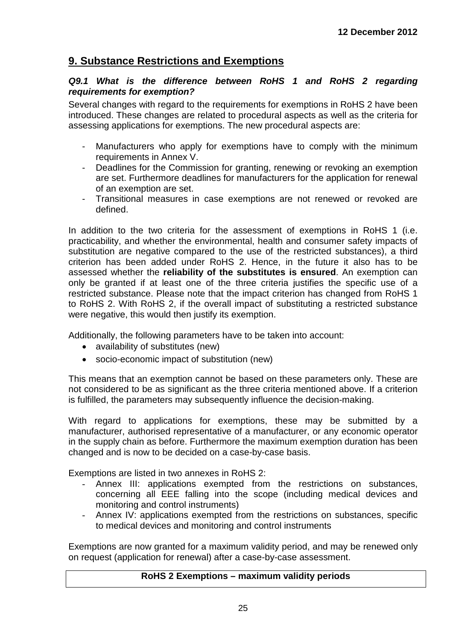## <span id="page-24-0"></span>**9. Substance Restrictions and Exemptions**

#### <span id="page-24-1"></span>*Q9.1 What is the difference between RoHS 1 and RoHS 2 regarding requirements for exemption?*

Several changes with regard to the requirements for exemptions in RoHS 2 have been introduced. These changes are related to procedural aspects as well as the criteria for assessing applications for exemptions. The new procedural aspects are:

- Manufacturers who apply for exemptions have to comply with the minimum requirements in Annex V.
- Deadlines for the Commission for granting, renewing or revoking an exemption are set. Furthermore deadlines for manufacturers for the application for renewal of an exemption are set.
- Transitional measures in case exemptions are not renewed or revoked are defined.

In addition to the two criteria for the assessment of exemptions in RoHS 1 (i.e. practicability, and whether the environmental, health and consumer safety impacts of substitution are negative compared to the use of the restricted substances), a third criterion has been added under RoHS 2. Hence, in the future it also has to be assessed whether the **reliability of the substitutes is ensured**. An exemption can only be granted if at least one of the three criteria justifies the specific use of a restricted substance. Please note that the impact criterion has changed from RoHS 1 to RoHS 2. With RoHS 2, if the overall impact of substituting a restricted substance were negative, this would then justify its exemption.

Additionally, the following parameters have to be taken into account:

- availability of substitutes (new)
- socio-economic impact of substitution (new)

This means that an exemption cannot be based on these parameters only. These are not considered to be as significant as the three criteria mentioned above. If a criterion is fulfilled, the parameters may subsequently influence the decision-making.

With regard to applications for exemptions, these may be submitted by a manufacturer, authorised representative of a manufacturer, or any economic operator in the supply chain as before. Furthermore the maximum exemption duration has been changed and is now to be decided on a case-by-case basis.

Exemptions are listed in two annexes in RoHS 2:

- Annex III: applications exempted from the restrictions on substances, concerning all EEE falling into the scope (including medical devices and monitoring and control instruments)
- Annex IV: applications exempted from the restrictions on substances, specific to medical devices and monitoring and control instruments

Exemptions are now granted for a maximum validity period, and may be renewed only on request (application for renewal) after a case-by-case assessment.

### **RoHS 2 Exemptions – maximum validity periods**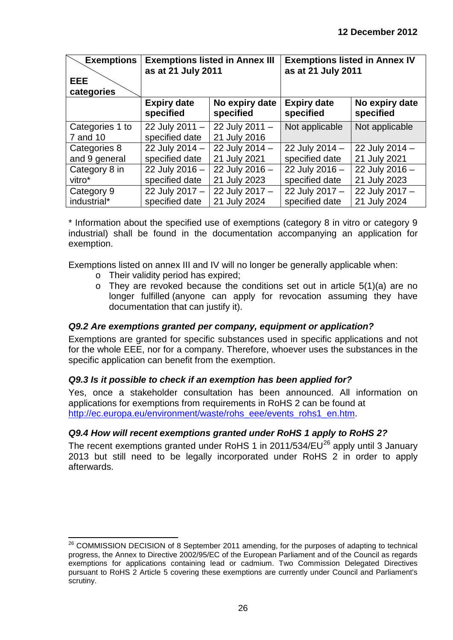| <b>Exemptions</b><br><b>EEE</b><br>categories | <b>Exemptions listed in Annex III</b><br>as at 21 July 2011 |                             | <b>Exemptions listed in Annex IV</b><br>as at 21 July 2011 |                             |
|-----------------------------------------------|-------------------------------------------------------------|-----------------------------|------------------------------------------------------------|-----------------------------|
|                                               | <b>Expiry date</b><br>specified                             | No expiry date<br>specified | <b>Expiry date</b><br>specified                            | No expiry date<br>specified |
| Categories 1 to                               | 22 July 2011 -                                              | 22 July 2011 -              | Not applicable                                             | Not applicable              |
| 7 and 10                                      | specified date                                              | 21 July 2016                |                                                            |                             |
| Categories 8                                  | 22 July 2014 -                                              | 22 July 2014 -              | 22 July 2014 -                                             | 22 July 2014 -              |
| and 9 general                                 | specified date                                              | 21 July 2021                | specified date                                             | 21 July 2021                |
| Category 8 in                                 | 22 July 2016 -                                              | 22 July 2016 -              | 22 July 2016 -                                             | 22 July 2016 -              |
| vitro*                                        | specified date                                              | 21 July 2023                | specified date                                             | 21 July 2023                |
| Category 9                                    | 22 July 2017 -                                              | 22 July 2017 -              | 22 July 2017 -                                             | 22 July 2017 -              |
| industrial*                                   | specified date                                              | 21 July 2024                | specified date                                             | 21 July 2024                |

\* Information about the specified use of exemptions (category 8 in vitro or category 9 industrial) shall be found in the documentation accompanying an application for exemption.

Exemptions listed on annex III and IV will no longer be generally applicable when:

- o Their validity period has expired;
- o They are revoked because the conditions set out in article 5(1)(a) are no longer fulfilled (anyone can apply for revocation assuming they have documentation that can justify it).

## <span id="page-25-0"></span>*Q9.2 Are exemptions granted per company, equipment or application?*

Exemptions are granted for specific substances used in specific applications and not for the whole EEE, nor for a company. Therefore, whoever uses the substances in the specific application can benefit from the exemption.

#### <span id="page-25-1"></span>*Q9.3 Is it possible to check if an exemption has been applied for?*

Yes, once a stakeholder consultation has been announced. All information on applications for exemptions from requirements in RoHS 2 can be found at [http://ec.europa.eu/environment/waste/rohs\\_eee/events\\_rohs1\\_en.htm.](http://ec.europa.eu/environment/waste/rohs_eee/events_rohs1_en.htm)

## <span id="page-25-2"></span>*Q9.4 How will recent exemptions granted under RoHS 1 apply to RoHS 2?*

The recent exemptions granted under RoHS 1 in 2011/534/EU<sup>[26](#page-21-5)</sup> apply until 3 January 2013 but still need to be legally incorporated under RoHS 2 in order to apply afterwards.

<span id="page-25-3"></span><sup>&</sup>lt;sup>26</sup> COMMISSION DECISION of 8 September 2011 amending, for the purposes of adapting to technical progress, the Annex to Directive 2002/95/EC of the European Parliament and of the Council as regards exemptions for applications containing lead or cadmium. Two Commission Delegated Directives pursuant to RoHS 2 Article 5 covering these exemptions are currently under Council and Parliament's scrutiny.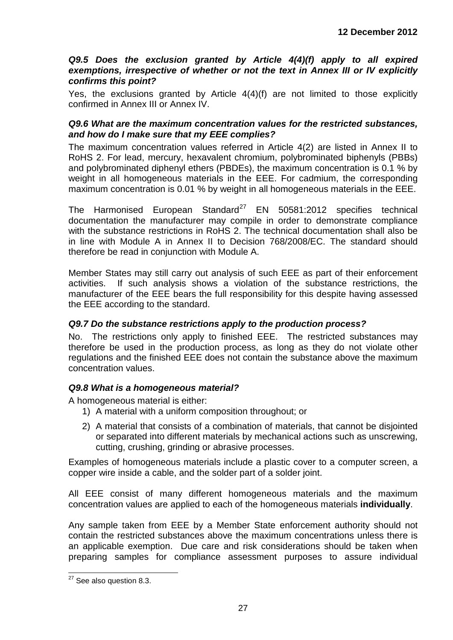#### <span id="page-26-0"></span>*Q9.5 Does the exclusion granted by Article 4(4)(f) apply to all expired exemptions, irrespective of whether or not the text in Annex III or IV explicitly confirms this point?*

Yes, the exclusions granted by Article 4(4)(f) are not limited to those explicitly confirmed in Annex III or Annex IV.

#### <span id="page-26-1"></span>*Q9.6 What are the maximum concentration values for the restricted substances, and how do I make sure that my EEE complies?*

The maximum concentration values referred in Article 4(2) are listed in Annex II to RoHS 2. For lead, mercury, hexavalent chromium, polybrominated biphenyls (PBBs) and polybrominated diphenyl ethers (PBDEs), the maximum concentration is 0.1 % by weight in all homogeneous materials in the EEE. For cadmium, the corresponding maximum concentration is 0.01 % by weight in all homogeneous materials in the EEE.

The Harmonised European Standard<sup>[27](#page-25-3)</sup> EN 50581:2012 specifies technical documentation the manufacturer may compile in order to demonstrate compliance with the substance restrictions in RoHS 2. The technical documentation shall also be in line with Module A in Annex II to Decision 768/2008/EC. The standard should therefore be read in conjunction with Module A.

Member States may still carry out analysis of such EEE as part of their enforcement activities. If such analysis shows a violation of the substance restrictions, the manufacturer of the EEE bears the full responsibility for this despite having assessed the EEE according to the standard.

### <span id="page-26-2"></span>*Q9.7 Do the substance restrictions apply to the production process?*

No. The restrictions only apply to finished EEE. The restricted substances may therefore be used in the production process, as long as they do not violate other regulations and the finished EEE does not contain the substance above the maximum concentration values.

#### <span id="page-26-3"></span>*Q9.8 What is a homogeneous material?*

A homogeneous material is either:

- 1) A material with a uniform composition throughout; or
- 2) A material that consists of a combination of materials, that cannot be disjointed or separated into different materials by mechanical actions such as unscrewing, cutting, crushing, grinding or abrasive processes.

Examples of homogeneous materials include a plastic cover to a computer screen, a copper wire inside a cable, and the solder part of a solder joint.

All EEE consist of many different homogeneous materials and the maximum concentration values are applied to each of the homogeneous materials **individually**.

Any sample taken from EEE by a Member State enforcement authority should not contain the restricted substances above the maximum concentrations unless there is an applicable exemption. Due care and risk considerations should be taken when preparing samples for compliance assessment purposes to assure individual

<span id="page-26-4"></span><sup>&</sup>lt;sup>27</sup> See also question 8.3.